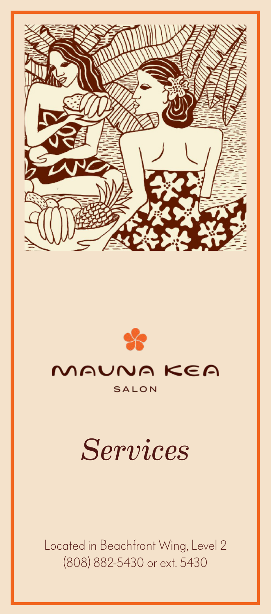



# *Services*

Located in Beachfront Wing, Level 2 (808) 882-5430 or ext. 5430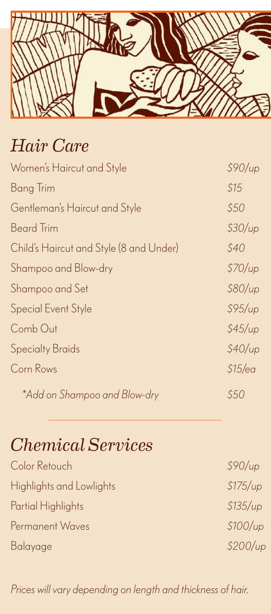

## *Hair Care*

| Women's Haircut and Style               | \$90/up     |
|-----------------------------------------|-------------|
| Bang Trim                               | \$15        |
| Gentleman's Haircut and Style           | \$50        |
| <b>Beard Trim</b>                       | \$30/up     |
| Child's Haircut and Style (8 and Under) | <i>\$40</i> |
| Shampoo and Blow-dry                    | \$70/up     |
| Shampoo and Set                         | \$80/up     |
| <b>Special Event Style</b>              | \$95/up     |
| Comb Out                                | \$45/up     |
| <b>Specialty Braids</b>                 | \$40/up     |
| Corn Rows                               | \$15/ea     |
| *Add on Shampoo and Blow-dry            | S50         |

## *Chemical Services*

| Color Retouch            | \$90/up  |
|--------------------------|----------|
| Highlights and Lowlights | \$175/up |
| Partial Highlights       | \$135/up |
| Permanent Waves          | \$100/up |
| Balayage                 | \$200/up |
|                          |          |

*Prices will vary depending on length and thickness of hair.*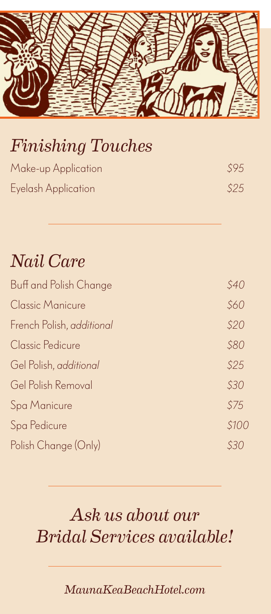

## *Finishing Touches*

| Make-up Application | \$95 |
|---------------------|------|
| Eyelash Application | \$25 |

#### *Nail Care*

| Buff and Polish Change    | \$40  |
|---------------------------|-------|
| <b>Classic Manicure</b>   | \$60  |
| French Polish, additional | \$20  |
| Classic Pedicure          | \$80  |
| Gel Polish, additional    | \$25  |
| Gel Polish Removal        | \$30  |
| Spa Manicure              | \$75  |
| Spa Pedicure              | \$100 |
| Polish Change (Only)      | S30   |

## *Ask us about our Bridal Services available!*

*MaunaKeaBeachHotel.com*